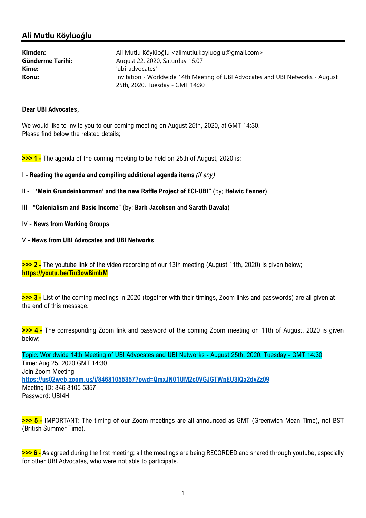## Ali Mutlu Köylüoğlu

| Kimden:          | Ali Mutlu Köylüoğlu <alimutlu.koyluoglu@gmail.com></alimutlu.koyluoglu@gmail.com> |
|------------------|-----------------------------------------------------------------------------------|
| Gönderme Tarihi: | August 22, 2020, Saturday 16:07                                                   |
| Kime:            | 'ubi-advocates'                                                                   |
| Konu:            | Invitation - Worldwide 14th Meeting of UBI Advocates and UBI Networks - August    |
|                  | 25th, 2020, Tuesday - GMT 14:30                                                   |

### Dear UBI Advocates,

We would like to invite you to our coming meeting on August 25th, 2020, at GMT 14:30. Please find below the related details;

>>> 1 - The agenda of the coming meeting to be held on 25th of August, 2020 is;

- I Reading the agenda and compiling additional agenda items (if any)
- II " 'Mein Grundeinkommen' and the new Raffle Project of ECI-UBI" (by; Helwic Fenner)
- III "Colonialism and Basic Income" (by; Barb Jacobson and Sarath Davala)

#### IV - News from Working Groups

### V - News from UBI Advocates and UBI Networks

>>> 2 - The youtube link of the video recording of our 13th meeting (August 11th, 2020) is given below; https://youtu.be/Tiu3owBimbM

>>> 3 - List of the coming meetings in 2020 (together with their timings, Zoom links and passwords) are all given at the end of this message.

>>> 4 - The corresponding Zoom link and password of the coming Zoom meeting on 11th of August, 2020 is given below;

Topic: Worldwide 14th Meeting of UBI Advocates and UBI Networks - August 25th, 2020, Tuesday - GMT 14:30 Time: Aug 25, 2020 GMT 14:30 Join Zoom Meeting https://us02web.zoom.us/j/84681055357?pwd=QmxJN01UM2c0VGJGTWpEU3lQa2dvZz09 Meeting ID: 846 8105 5357 Password: UBI4H

>>> 5 - IMPORTANT: The timing of our Zoom meetings are all announced as GMT (Greenwich Mean Time), not BST (British Summer Time).

>>> 6 - As agreed during the first meeting; all the meetings are being RECORDED and shared through youtube, especially for other UBI Advocates, who were not able to participate.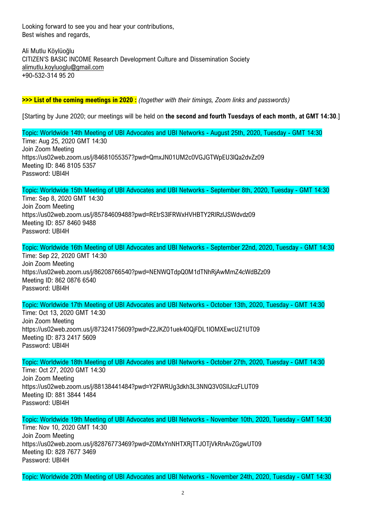Looking forward to see you and hear your contributions, Best wishes and regards,

Ali Mutlu Köylüoğlu CITIZEN'S BASIC INCOME Research Development Culture and Dissemination Society alimutlu.koyluoglu@gmail.com +90-532-314 95 20

>>> List of the coming meetings in 2020 : (together with their timings, Zoom links and passwords)

[Starting by June 2020; our meetings will be held on the second and fourth Tuesdays of each month, at GMT 14:30.]

Topic: Worldwide 14th Meeting of UBI Advocates and UBI Networks - August 25th, 2020, Tuesday - GMT 14:30 Time: Aug 25, 2020 GMT 14:30 Join Zoom Meeting https://us02web.zoom.us/j/84681055357?pwd=QmxJN01UM2c0VGJGTWpEU3lQa2dvZz09 Meeting ID: 846 8105 5357 Password: UBI4H

Topic: Worldwide 15th Meeting of UBI Advocates and UBI Networks - September 8th, 2020, Tuesday - GMT 14:30 Time: Sep 8, 2020 GMT 14:30 Join Zoom Meeting https://us02web.zoom.us/j/85784609488?pwd=REtrS3lFRWxHVHBTY2RlRzlJSWdvdz09 Meeting ID: 857 8460 9488 Password: UBI4H

Topic: Worldwide 16th Meeting of UBI Advocates and UBI Networks - September 22nd, 2020, Tuesday - GMT 14:30 Time: Sep 22, 2020 GMT 14:30 Join Zoom Meeting https://us02web.zoom.us/j/86208766540?pwd=NENWQTdpQ0M1dTNhRjAwMmZ4cWdBZz09 Meeting ID: 862 0876 6540 Password: UBI4H

Topic: Worldwide 17th Meeting of UBI Advocates and UBI Networks - October 13th, 2020, Tuesday - GMT 14:30 Time: Oct 13, 2020 GMT 14:30 Join Zoom Meeting https://us02web.zoom.us/j/87324175609?pwd=Z2JKZ01uek40QjFDL1lOMXEwcUZ1UT09 Meeting ID: 873 2417 5609 Password: UBI4H

Topic: Worldwide 18th Meeting of UBI Advocates and UBI Networks - October 27th, 2020, Tuesday - GMT 14:30 Time: Oct 27, 2020 GMT 14:30 Join Zoom Meeting https://us02web.zoom.us/j/88138441484?pwd=Y2FWRUg3dkh3L3NNQ3V0SllJczFLUT09 Meeting ID: 881 3844 1484 Password: UBI4H

Topic: Worldwide 19th Meeting of UBI Advocates and UBI Networks - November 10th, 2020, Tuesday - GMT 14:30 Time: Nov 10, 2020 GMT 14:30 Join Zoom Meeting https://us02web.zoom.us/j/82876773469?pwd=Z0MxYnNHTXRjTTJOTjVkRnAvZGgwUT09 Meeting ID: 828 7677 3469 Password: UBI4H

Topic: Worldwide 20th Meeting of UBI Advocates and UBI Networks - November 24th, 2020, Tuesday - GMT 14:30